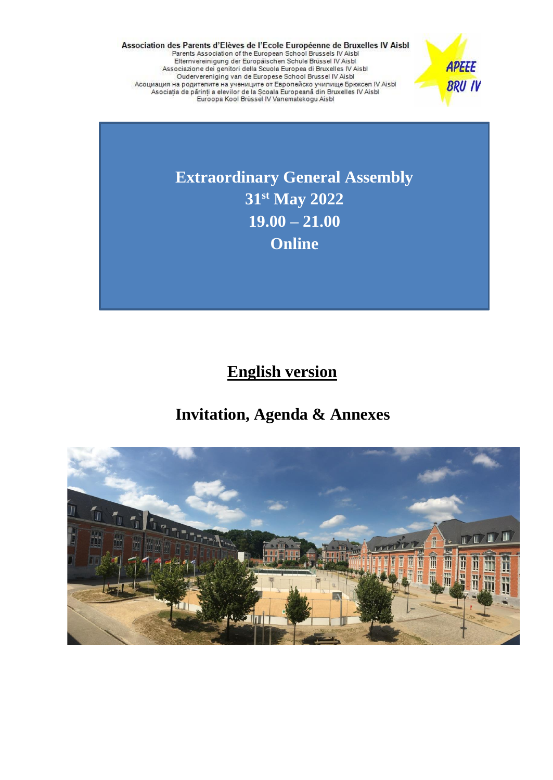Association des Parents d'Elèves de l'Ecole Européenne de Bruxelles IV Aisbl<br>Parents Association of the European School Brussels IV Aisbl<br>Elternvereinigung der Europäischen Schule Brüssel IV Aisbl<br>Associazione dei genitori



**Extraordinary General Assembly 31st May 2022 19.00 – 21.00 Online**

 **English version**

# **Invitation, Agenda & Annexes**

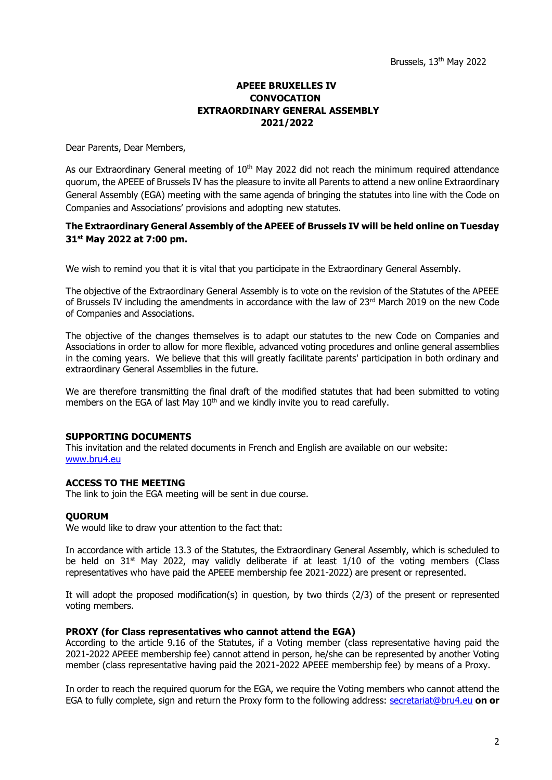# **APEEE BRUXELLES IV CONVOCATION EXTRAORDINARY GENERAL ASSEMBLY 2021/2022**

Dear Parents, Dear Members,

As our Extraordinary General meeting of  $10<sup>th</sup>$  May 2022 did not reach the minimum required attendance quorum, the APEEE of Brussels IV has the pleasure to invite all Parents to attend a new online Extraordinary General Assembly (EGA) meeting with the same agenda of bringing the statutes into line with the Code on Companies and Associations' provisions and adopting new statutes.

# **The Extraordinary General Assembly of the APEEE of Brussels IV will be held online on Tuesday 31st May 2022 at 7:00 pm.**

We wish to remind you that it is vital that you participate in the Extraordinary General Assembly.

The objective of the Extraordinary General Assembly is to vote on the revision of the Statutes of the APEEE of Brussels IV including the amendments in accordance with the law of 23rd March 2019 on the new Code of Companies and Associations.

The objective of the changes themselves is to adapt our statutes to the new Code on Companies and Associations in order to allow for more flexible, advanced voting procedures and online general assemblies in the coming years. We believe that this will greatly facilitate parents' participation in both ordinary and extraordinary General Assemblies in the future.

We are therefore transmitting the final draft of the modified statutes that had been submitted to voting members on the EGA of last May  $10<sup>th</sup>$  and we kindly invite you to read carefully.

#### **SUPPORTING DOCUMENTS**

This invitation and the related documents in French and English are available on our website: [www.bru4.eu](http://www.bru4.eu/)

# **ACCESS TO THE MEETING**

The link to join the EGA meeting will be sent in due course.

#### **QUORUM**

We would like to draw your attention to the fact that:

In accordance with article 13.3 of the Statutes, the Extraordinary General Assembly, which is scheduled to be held on  $31^{st}$  May 2022, may validly deliberate if at least  $1/10$  of the voting members (Class representatives who have paid the APEEE membership fee 2021-2022) are present or represented.

It will adopt the proposed modification(s) in question, by two thirds (2/3) of the present or represented voting members.

#### **PROXY (for Class representatives who cannot attend the EGA)**

According to the article 9.16 of the Statutes, if a Voting member (class representative having paid the 2021-2022 APEEE membership fee) cannot attend in person, he/she can be represented by another Voting member (class representative having paid the 2021-2022 APEEE membership fee) by means of a Proxy.

In order to reach the required quorum for the EGA, we require the Voting members who cannot attend the EGA to fully complete, sign and return the Proxy form to the following address: [secretariat@bru4.eu](mailto:secretariat@bru4.eu) **on or**